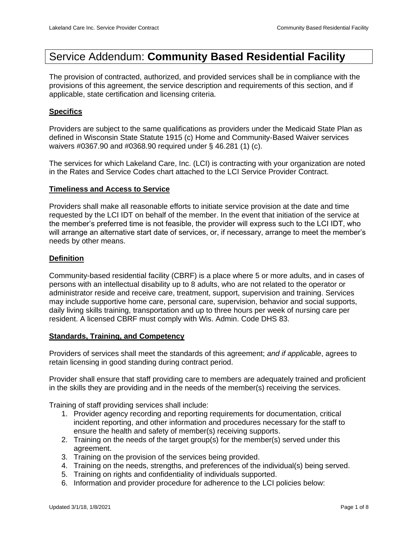# Service Addendum: **Community Based Residential Facility**

The provision of contracted, authorized, and provided services shall be in compliance with the provisions of this agreement, the service description and requirements of this section, and if applicable, state certification and licensing criteria.

#### **Specifics**

Providers are subject to the same qualifications as providers under the Medicaid State Plan as defined in Wisconsin State Statute 1915 (c) Home and Community-Based Waiver services waivers #0367.90 and #0368.90 required under § 46.281 (1) (c).

The services for which Lakeland Care, Inc. (LCI) is contracting with your organization are noted in the Rates and Service Codes chart attached to the LCI Service Provider Contract.

#### **Timeliness and Access to Service**

Providers shall make all reasonable efforts to initiate service provision at the date and time requested by the LCI IDT on behalf of the member. In the event that initiation of the service at the member's preferred time is not feasible, the provider will express such to the LCI IDT, who will arrange an alternative start date of services, or, if necessary, arrange to meet the member's needs by other means.

#### **Definition**

Community-based residential facility (CBRF) is a place where 5 or more adults, and in cases of persons with an intellectual disability up to 8 adults, who are not related to the operator or administrator reside and receive care, treatment, support, supervision and training. Services may include supportive home care, personal care, supervision, behavior and social supports, daily living skills training, transportation and up to three hours per week of nursing care per resident. A licensed CBRF must comply with Wis. Admin. Code DHS 83.

#### **Standards, Training, and Competency**

Providers of services shall meet the standards of this agreement; *and if applicable*, agrees to retain licensing in good standing during contract period.

Provider shall ensure that staff providing care to members are adequately trained and proficient in the skills they are providing and in the needs of the member(s) receiving the services.

Training of staff providing services shall include:

- 1. Provider agency recording and reporting requirements for documentation, critical incident reporting, and other information and procedures necessary for the staff to ensure the health and safety of member(s) receiving supports.
- 2. Training on the needs of the target group(s) for the member(s) served under this agreement.
- 3. Training on the provision of the services being provided.
- 4. Training on the needs, strengths, and preferences of the individual(s) being served.
- 5. Training on rights and confidentiality of individuals supported.
- 6. Information and provider procedure for adherence to the LCI policies below: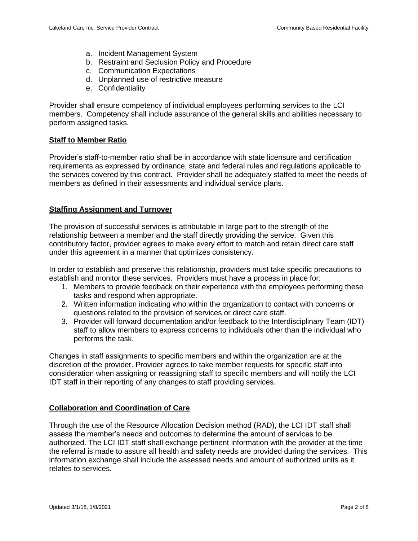- a. Incident Management System
- b. Restraint and Seclusion Policy and Procedure
- c. Communication Expectations
- d. Unplanned use of restrictive measure
- e. Confidentiality

Provider shall ensure competency of individual employees performing services to the LCI members. Competency shall include assurance of the general skills and abilities necessary to perform assigned tasks.

### **Staff to Member Ratio**

Provider's staff-to-member ratio shall be in accordance with state licensure and certification requirements as expressed by ordinance, state and federal rules and regulations applicable to the services covered by this contract. Provider shall be adequately staffed to meet the needs of members as defined in their assessments and individual service plans.

# **Staffing Assignment and Turnover**

The provision of successful services is attributable in large part to the strength of the relationship between a member and the staff directly providing the service. Given this contributory factor, provider agrees to make every effort to match and retain direct care staff under this agreement in a manner that optimizes consistency.

In order to establish and preserve this relationship, providers must take specific precautions to establish and monitor these services. Providers must have a process in place for:

- 1. Members to provide feedback on their experience with the employees performing these tasks and respond when appropriate.
- 2. Written information indicating who within the organization to contact with concerns or questions related to the provision of services or direct care staff.
- 3. Provider will forward documentation and/or feedback to the Interdisciplinary Team (IDT) staff to allow members to express concerns to individuals other than the individual who performs the task.

Changes in staff assignments to specific members and within the organization are at the discretion of the provider. Provider agrees to take member requests for specific staff into consideration when assigning or reassigning staff to specific members and will notify the LCI IDT staff in their reporting of any changes to staff providing services.

# **Collaboration and Coordination of Care**

Through the use of the Resource Allocation Decision method (RAD), the LCI IDT staff shall assess the member's needs and outcomes to determine the amount of services to be authorized. The LCI IDT staff shall exchange pertinent information with the provider at the time the referral is made to assure all health and safety needs are provided during the services. This information exchange shall include the assessed needs and amount of authorized units as it relates to services.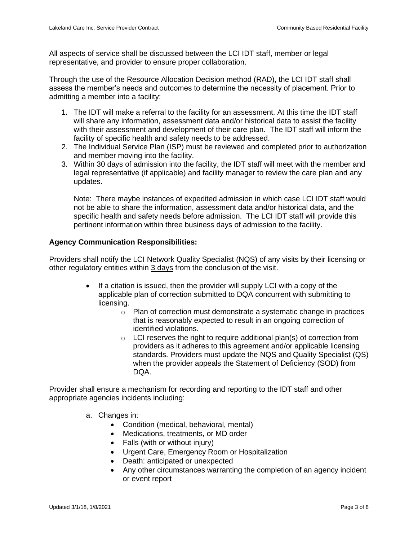All aspects of service shall be discussed between the LCI IDT staff, member or legal representative, and provider to ensure proper collaboration.

Through the use of the Resource Allocation Decision method (RAD), the LCI IDT staff shall assess the member's needs and outcomes to determine the necessity of placement. Prior to admitting a member into a facility:

- 1. The IDT will make a referral to the facility for an assessment. At this time the IDT staff will share any information, assessment data and/or historical data to assist the facility with their assessment and development of their care plan. The IDT staff will inform the facility of specific health and safety needs to be addressed.
- 2. The Individual Service Plan (ISP) must be reviewed and completed prior to authorization and member moving into the facility.
- 3. Within 30 days of admission into the facility, the IDT staff will meet with the member and legal representative (if applicable) and facility manager to review the care plan and any updates.

Note: There maybe instances of expedited admission in which case LCI IDT staff would not be able to share the information, assessment data and/or historical data, and the specific health and safety needs before admission. The LCI IDT staff will provide this pertinent information within three business days of admission to the facility.

# **Agency Communication Responsibilities:**

Providers shall notify the LCI Network Quality Specialist (NQS) of any visits by their licensing or other regulatory entities within 3 days from the conclusion of the visit.

- If a citation is issued, then the provider will supply LCI with a copy of the applicable plan of correction submitted to DQA concurrent with submitting to licensing.
	- o Plan of correction must demonstrate a systematic change in practices that is reasonably expected to result in an ongoing correction of identified violations.
	- $\circ$  LCI reserves the right to require additional plan(s) of correction from providers as it adheres to this agreement and/or applicable licensing standards. Providers must update the NQS and Quality Specialist (QS) when the provider appeals the Statement of Deficiency (SOD) from DQA.

Provider shall ensure a mechanism for recording and reporting to the IDT staff and other appropriate agencies incidents including:

- a. Changes in:
	- Condition (medical, behavioral, mental)
	- Medications, treatments, or MD order
	- Falls (with or without injury)
	- Urgent Care, Emergency Room or Hospitalization
	- Death: anticipated or unexpected
	- Any other circumstances warranting the completion of an agency incident or event report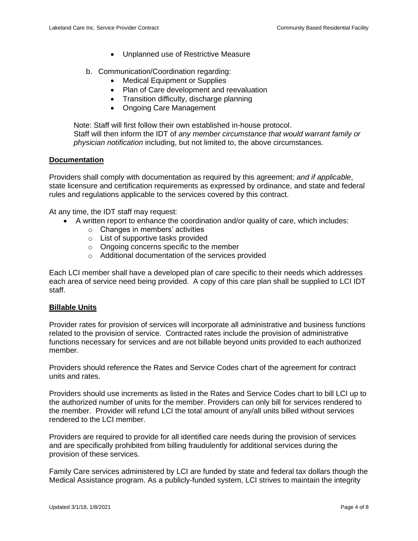- Unplanned use of Restrictive Measure
- b. Communication/Coordination regarding:
	- Medical Equipment or Supplies
	- Plan of Care development and reevaluation
	- Transition difficulty, discharge planning
	- Ongoing Care Management

Note: Staff will first follow their own established in-house protocol. Staff will then inform the IDT of *any member circumstance that would warrant family or physician notification* including, but not limited to, the above circumstances.

### **Documentation**

Providers shall comply with documentation as required by this agreement; *and if applicable*, state licensure and certification requirements as expressed by ordinance, and state and federal rules and regulations applicable to the services covered by this contract.

At any time, the IDT staff may request:

- A written report to enhance the coordination and/or quality of care, which includes:
	- o Changes in members' activities
	- o List of supportive tasks provided
	- o Ongoing concerns specific to the member
	- o Additional documentation of the services provided

Each LCI member shall have a developed plan of care specific to their needs which addresses each area of service need being provided. A copy of this care plan shall be supplied to LCI IDT staff.

#### **Billable Units**

Provider rates for provision of services will incorporate all administrative and business functions related to the provision of service. Contracted rates include the provision of administrative functions necessary for services and are not billable beyond units provided to each authorized member.

Providers should reference the Rates and Service Codes chart of the agreement for contract units and rates.

Providers should use increments as listed in the Rates and Service Codes chart to bill LCI up to the authorized number of units for the member. Providers can only bill for services rendered to the member. Provider will refund LCI the total amount of any/all units billed without services rendered to the LCI member.

Providers are required to provide for all identified care needs during the provision of services and are specifically prohibited from billing fraudulently for additional services during the provision of these services.

Family Care services administered by LCI are funded by state and federal tax dollars though the Medical Assistance program. As a publicly-funded system, LCI strives to maintain the integrity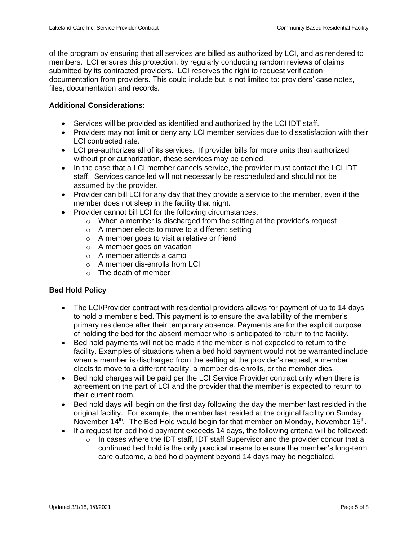of the program by ensuring that all services are billed as authorized by LCI, and as rendered to members. LCI ensures this protection, by regularly conducting random reviews of claims submitted by its contracted providers. LCI reserves the right to request verification documentation from providers. This could include but is not limited to: providers' case notes, files, documentation and records.

# **Additional Considerations:**

- Services will be provided as identified and authorized by the LCI IDT staff.
- Providers may not limit or deny any LCI member services due to dissatisfaction with their LCI contracted rate.
- LCI pre-authorizes all of its services. If provider bills for more units than authorized without prior authorization, these services may be denied.
- In the case that a LCI member cancels service, the provider must contact the LCI IDT staff. Services cancelled will not necessarily be rescheduled and should not be assumed by the provider.
- Provider can bill LCI for any day that they provide a service to the member, even if the member does not sleep in the facility that night.
- Provider cannot bill LCI for the following circumstances:
	- $\circ$  When a member is discharged from the setting at the provider's request
	- o A member elects to move to a different setting
	- o A member goes to visit a relative or friend
	- o A member goes on vacation
	- o A member attends a camp
	- o A member dis-enrolls from LCI
	- $\circ$  The death of member

# **Bed Hold Policy**

- The LCI/Provider contract with residential providers allows for payment of up to 14 days to hold a member's bed. This payment is to ensure the availability of the member's primary residence after their temporary absence. Payments are for the explicit purpose of holding the bed for the absent member who is anticipated to return to the facility.
- Bed hold payments will not be made if the member is not expected to return to the facility. Examples of situations when a bed hold payment would not be warranted include when a member is discharged from the setting at the provider's request, a member elects to move to a different facility, a member dis-enrolls, or the member dies.
- Bed hold charges will be paid per the LCI Service Provider contract only when there is agreement on the part of LCI and the provider that the member is expected to return to their current room.
- Bed hold days will begin on the first day following the day the member last resided in the original facility. For example, the member last resided at the original facility on Sunday, November 14<sup>th</sup>. The Bed Hold would begin for that member on Monday, November 15<sup>th</sup>.
- If a request for bed hold payment exceeds 14 days, the following criteria will be followed:
	- o In cases where the IDT staff, IDT staff Supervisor and the provider concur that a continued bed hold is the only practical means to ensure the member's long-term care outcome, a bed hold payment beyond 14 days may be negotiated.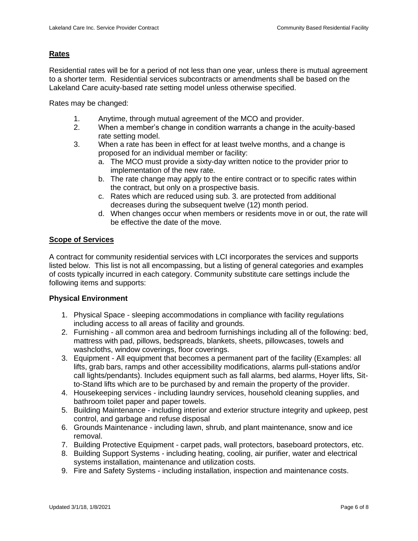# **Rates**

Residential rates will be for a period of not less than one year, unless there is mutual agreement to a shorter term. Residential services subcontracts or amendments shall be based on the Lakeland Care acuity-based rate setting model unless otherwise specified.

Rates may be changed:

- 1. Anytime, through mutual agreement of the MCO and provider.
- 2. When a member's change in condition warrants a change in the acuity-based rate setting model.
- 3. When a rate has been in effect for at least twelve months, and a change is proposed for an individual member or facility:
	- a. The MCO must provide a sixty-day written notice to the provider prior to implementation of the new rate.
	- b. The rate change may apply to the entire contract or to specific rates within the contract, but only on a prospective basis.
	- c. Rates which are reduced using sub. 3. are protected from additional decreases during the subsequent twelve (12) month period.
	- d. When changes occur when members or residents move in or out, the rate will be effective the date of the move.

# **Scope of Services**

A contract for community residential services with LCI incorporates the services and supports listed below. This list is not all encompassing, but a listing of general categories and examples of costs typically incurred in each category. Community substitute care settings include the following items and supports:

#### **Physical Environment**

- 1. Physical Space sleeping accommodations in compliance with facility regulations including access to all areas of facility and grounds.
- 2. Furnishing all common area and bedroom furnishings including all of the following: bed, mattress with pad, pillows, bedspreads, blankets, sheets, pillowcases, towels and washcloths, window coverings, floor coverings.
- 3. Equipment All equipment that becomes a permanent part of the facility (Examples: all lifts, grab bars, ramps and other accessibility modifications, alarms pull-stations and/or call lights/pendants). Includes equipment such as fall alarms, bed alarms, Hoyer lifts, Sitto-Stand lifts which are to be purchased by and remain the property of the provider.
- 4. Housekeeping services including laundry services, household cleaning supplies, and bathroom toilet paper and paper towels.
- 5. Building Maintenance including interior and exterior structure integrity and upkeep, pest control, and garbage and refuse disposal
- 6. Grounds Maintenance including lawn, shrub, and plant maintenance, snow and ice removal.
- 7. Building Protective Equipment carpet pads, wall protectors, baseboard protectors, etc.
- 8. Building Support Systems including heating, cooling, air purifier, water and electrical systems installation, maintenance and utilization costs.
- 9. Fire and Safety Systems including installation, inspection and maintenance costs.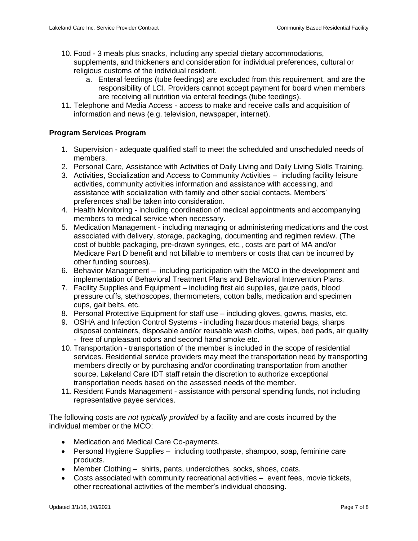- 10. Food 3 meals plus snacks, including any special dietary accommodations, supplements, and thickeners and consideration for individual preferences, cultural or religious customs of the individual resident.
	- a. Enteral feedings (tube feedings) are excluded from this requirement, and are the responsibility of LCI. Providers cannot accept payment for board when members are receiving all nutrition via enteral feedings (tube feedings).
- 11. Telephone and Media Access access to make and receive calls and acquisition of information and news (e.g. television, newspaper, internet).

# **Program Services Program**

- 1. Supervision adequate qualified staff to meet the scheduled and unscheduled needs of members.
- 2. Personal Care, Assistance with Activities of Daily Living and Daily Living Skills Training.
- 3. Activities, Socialization and Access to Community Activities including facility leisure activities, community activities information and assistance with accessing, and assistance with socialization with family and other social contacts. Members' preferences shall be taken into consideration.
- 4. Health Monitoring including coordination of medical appointments and accompanying members to medical service when necessary.
- 5. Medication Management including managing or administering medications and the cost associated with delivery, storage, packaging, documenting and regimen review. (The cost of bubble packaging, pre-drawn syringes, etc., costs are part of MA and/or Medicare Part D benefit and not billable to members or costs that can be incurred by other funding sources).
- 6. Behavior Management including participation with the MCO in the development and implementation of Behavioral Treatment Plans and Behavioral Intervention Plans.
- 7. Facility Supplies and Equipment including first aid supplies, gauze pads, blood pressure cuffs, stethoscopes, thermometers, cotton balls, medication and specimen cups, gait belts, etc.
- 8. Personal Protective Equipment for staff use including gloves, gowns, masks, etc.
- 9. OSHA and Infection Control Systems including hazardous material bags, sharps disposal containers, disposable and/or reusable wash cloths, wipes, bed pads, air quality - free of unpleasant odors and second hand smoke etc.
- 10. Transportation transportation of the member is included in the scope of residential services. Residential service providers may meet the transportation need by transporting members directly or by purchasing and/or coordinating transportation from another source. Lakeland Care IDT staff retain the discretion to authorize exceptional transportation needs based on the assessed needs of the member.
- 11. Resident Funds Management assistance with personal spending funds, not including representative payee services.

The following costs are *not typically provided* by a facility and are costs incurred by the individual member or the MCO:

- Medication and Medical Care Co-payments.
- Personal Hygiene Supplies including toothpaste, shampoo, soap, feminine care products.
- Member Clothing shirts, pants, underclothes, socks, shoes, coats.
- Costs associated with community recreational activities event fees, movie tickets, other recreational activities of the member's individual choosing.